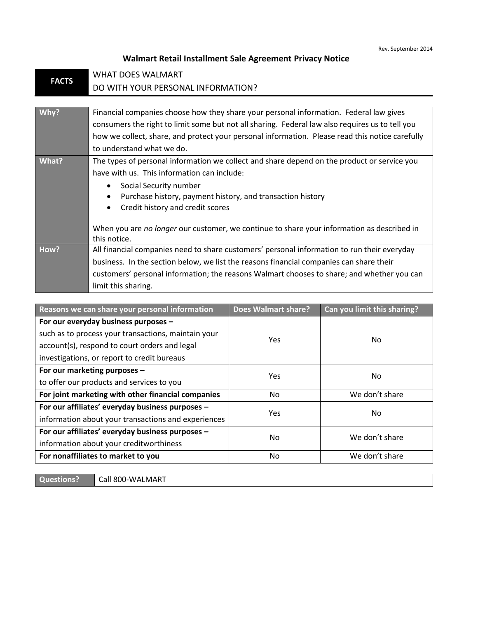## **Walmart Retail Installment Sale Agreement Privacy Notice**

| <b>FACTS</b> | <b>WHAT DOES WALMART</b>                                                                                                     |  |  |  |
|--------------|------------------------------------------------------------------------------------------------------------------------------|--|--|--|
|              | DO WITH YOUR PERSONAL INFORMATION?                                                                                           |  |  |  |
|              |                                                                                                                              |  |  |  |
| Why?         | Financial companies choose how they share your personal information. Federal law gives                                       |  |  |  |
|              | consumers the right to limit some but not all sharing. Federal law also requires us to tell you                              |  |  |  |
|              | how we collect, share, and protect your personal information. Please read this notice carefully<br>to understand what we do. |  |  |  |
|              |                                                                                                                              |  |  |  |
| What?        | The types of personal information we collect and share depend on the product or service you                                  |  |  |  |
|              | have with us. This information can include:                                                                                  |  |  |  |
|              | Social Security number                                                                                                       |  |  |  |
|              | Purchase history, payment history, and transaction history                                                                   |  |  |  |
|              | Credit history and credit scores                                                                                             |  |  |  |
|              |                                                                                                                              |  |  |  |
|              | When you are no longer our customer, we continue to share your information as described in<br>this notice.                   |  |  |  |
|              |                                                                                                                              |  |  |  |
| How?         | All financial companies need to share customers' personal information to run their everyday                                  |  |  |  |
|              | business. In the section below, we list the reasons financial companies can share their                                      |  |  |  |
|              | customers' personal information; the reasons Walmart chooses to share; and whether you can                                   |  |  |  |
|              | limit this sharing.                                                                                                          |  |  |  |

| Reasons we can share your personal information      | <b>Does Walmart share?</b> | Can you limit this sharing? |
|-----------------------------------------------------|----------------------------|-----------------------------|
| For our everyday business purposes -                | <b>Yes</b>                 | No                          |
| such as to process your transactions, maintain your |                            |                             |
| account(s), respond to court orders and legal       |                            |                             |
| investigations, or report to credit bureaus         |                            |                             |
| For our marketing purposes -                        | Yes                        | N <sub>0</sub>              |
| to offer our products and services to you           |                            |                             |
| For joint marketing with other financial companies  | No                         | We don't share              |
| For our affiliates' everyday business purposes -    | <b>Yes</b>                 | No.                         |
| information about your transactions and experiences |                            |                             |
| For our affiliates' everyday business purposes -    | <b>No</b>                  | We don't share              |
| information about your creditworthiness             |                            |                             |
| For nonaffiliates to market to you                  | No                         | We don't share              |

**Questions? Call 800-WALMART**